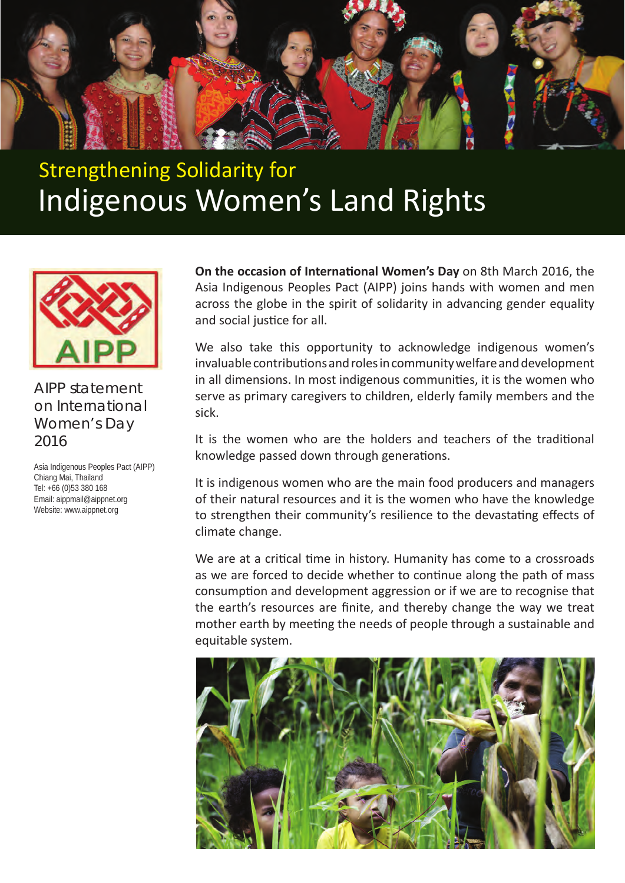

## Strengthening Solidarity for Indigenous Women's Land Rights



## AIPP statement on International Women's Day 2016

Asia Indigenous Peoples Pact (AIPP) Chiang Mai, Thailand Tel: +66 (0)53 380 168 Email: aippmail@aippnet.org Website: www.aippnet.org

**On the occasion of International Women's Day** on 8th March 2016, the Asia Indigenous Peoples Pact (AIPP) joins hands with women and men across the globe in the spirit of solidarity in advancing gender equality and social justice for all.

We also take this opportunity to acknowledge indigenous women's invaluable contributions and roles in community welfare and development in all dimensions. In most indigenous communities, it is the women who serve as primary caregivers to children, elderly family members and the sick.

It is the women who are the holders and teachers of the traditional knowledge passed down through generations.

It is indigenous women who are the main food producers and managers of their natural resources and it is the women who have the knowledge to strengthen their community's resilience to the devastating effects of climate change.

We are at a critical time in history. Humanity has come to a crossroads as we are forced to decide whether to continue along the path of mass consumption and development aggression or if we are to recognise that the earth's resources are finite, and thereby change the way we treat mother earth by meeting the needs of people through a sustainable and equitable system.

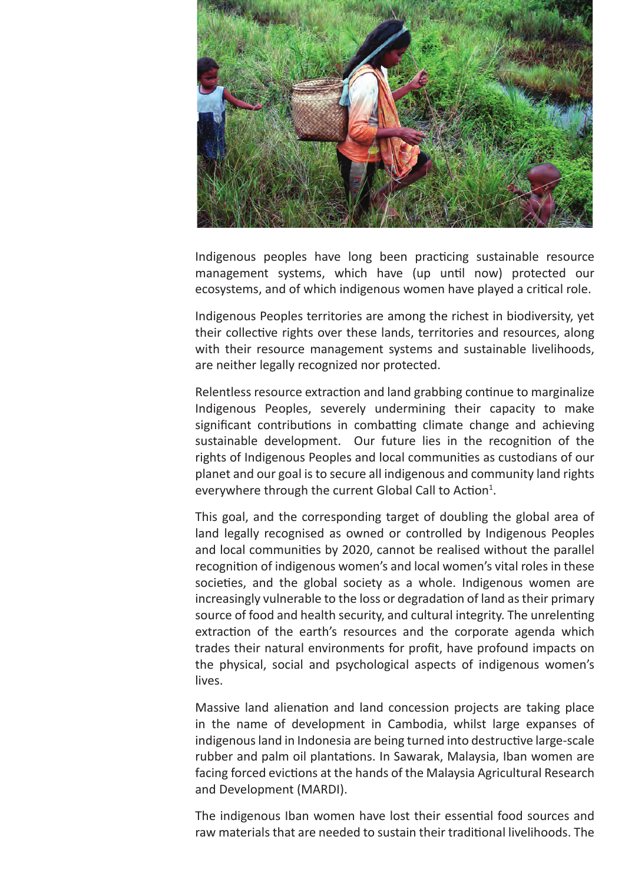

Indigenous peoples have long been practicing sustainable resource management systems, which have (up until now) protected our ecosystems, and of which indigenous women have played a critical role.

Indigenous Peoples territories are among the richest in biodiversity, yet their collective rights over these lands, territories and resources, along with their resource management systems and sustainable livelihoods, are neither legally recognized nor protected.

Relentless resource extraction and land grabbing continue to marginalize Indigenous Peoples, severely undermining their capacity to make significant contributions in combatting climate change and achieving sustainable development. Our future lies in the recognition of the rights of Indigenous Peoples and local communities as custodians of our planet and our goal is to secure all indigenous and community land rights everywhere through the current Global Call to Action<sup>1</sup>.

This goal, and the corresponding target of doubling the global area of land legally recognised as owned or controlled by Indigenous Peoples and local communities by 2020, cannot be realised without the parallel recognition of indigenous women's and local women's vital roles in these societies, and the global society as a whole. Indigenous women are increasingly vulnerable to the loss or degradation of land as their primary source of food and health security, and cultural integrity. The unrelenting extraction of the earth's resources and the corporate agenda which trades their natural environments for profit, have profound impacts on the physical, social and psychological aspects of indigenous women's lives.

Massive land alienation and land concession projects are taking place in the name of development in Cambodia, whilst large expanses of indigenous land in Indonesia are being turned into destructive large-scale rubber and palm oil plantations. In Sawarak, Malaysia, Iban women are facing forced evictions at the hands of the Malaysia Agricultural Research and Development (MARDI).

The indigenous Iban women have lost their essential food sources and raw materials that are needed to sustain their traditional livelihoods. The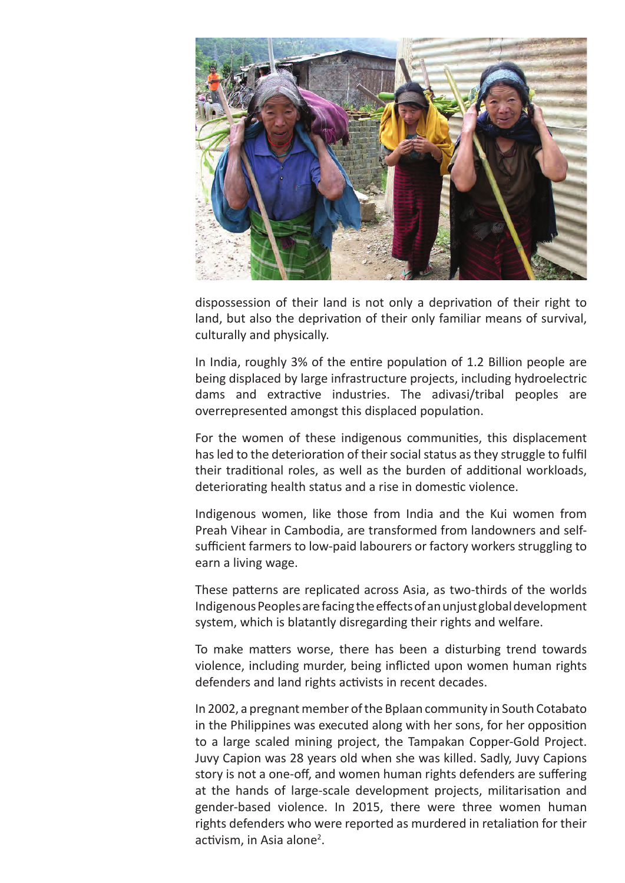

dispossession of their land is not only a deprivation of their right to land, but also the deprivation of their only familiar means of survival, culturally and physically.

In India, roughly 3% of the entire population of 1.2 Billion people are being displaced by large infrastructure projects, including hydroelectric dams and extractive industries. The adivasi/tribal peoples are overrepresented amongst this displaced population.

For the women of these indigenous communities, this displacement has led to the deterioration of their social status as they struggle to fulfil their traditional roles, as well as the burden of additional workloads, deteriorating health status and a rise in domestic violence.

Indigenous women, like those from India and the Kui women from Preah Vihear in Cambodia, are transformed from landowners and selfsufficient farmers to low-paid labourers or factory workers struggling to earn a living wage.

These patterns are replicated across Asia, as two-thirds of the worlds Indigenous Peoples are facing the effects of an unjust global development system, which is blatantly disregarding their rights and welfare.

To make matters worse, there has been a disturbing trend towards violence, including murder, being inflicted upon women human rights defenders and land rights activists in recent decades.

In 2002, a pregnant member of the Bplaan community in South Cotabato in the Philippines was executed along with her sons, for her opposition to a large scaled mining project, the Tampakan Copper-Gold Project. Juvy Capion was 28 years old when she was killed. Sadly, Juvy Capions story is not a one-off, and women human rights defenders are suffering at the hands of large-scale development projects, militarisation and gender-based violence. In 2015, there were three women human rights defenders who were reported as murdered in retaliation for their activism, in Asia alone<sup>2</sup>.